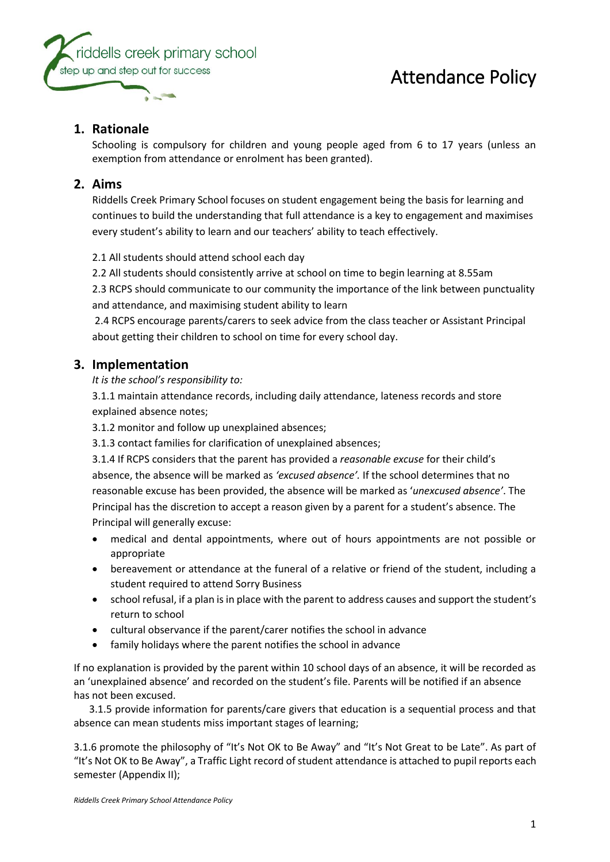

## **1. Rationale**

Schooling is compulsory for children and young people aged from 6 to 17 years (unless an exemption from attendance or enrolment has been granted).

### **2. Aims**

Riddells Creek Primary School focuses on student engagement being the basis for learning and continues to build the understanding that full attendance is a key to engagement and maximises every student's ability to learn and our teachers' ability to teach effectively.

2.1 All students should attend school each day

2.2 All students should consistently arrive at school on time to begin learning at 8.55am

2.3 RCPS should communicate to our community the importance of the link between punctuality and attendance, and maximising student ability to learn

2.4 RCPS encourage parents/carers to seek advice from the class teacher or Assistant Principal about getting their children to school on time for every school day.

### **3. Implementation**

*It is the school's responsibility to:* 

3.1.1 maintain attendance records, including daily attendance, lateness records and store explained absence notes;

3.1.2 monitor and follow up unexplained absences;

3.1.3 contact families for clarification of unexplained absences;

3.1.4 If RCPS considers that the parent has provided a *reasonable excuse* for their child's absence, the absence will be marked as *'excused absence'.* If the school determines that no reasonable excuse has been provided, the absence will be marked as '*unexcused absence'*. The Principal has the discretion to accept a reason given by a parent for a student's absence. The Principal will generally excuse:

- medical and dental appointments, where out of hours appointments are not possible or appropriate
- bereavement or attendance at the funeral of a relative or friend of the student, including a student required to attend Sorry Business
- school refusal, if a plan is in place with the parent to address causes and support the student's return to school
- cultural observance if the parent/carer notifies the school in advance
- family holidays where the parent notifies the school in advance

If no explanation is provided by the parent within 10 school days of an absence, it will be recorded as an 'unexplained absence' and recorded on the student's file. Parents will be notified if an absence has not been excused.

 3.1.5 provide information for parents/care givers that education is a sequential process and that absence can mean students miss important stages of learning;

3.1.6 promote the philosophy of "It's Not OK to Be Away" and "It's Not Great to be Late". As part of "It's Not OK to Be Away", a Traffic Light record of student attendance is attached to pupil reports each semester (Appendix II);